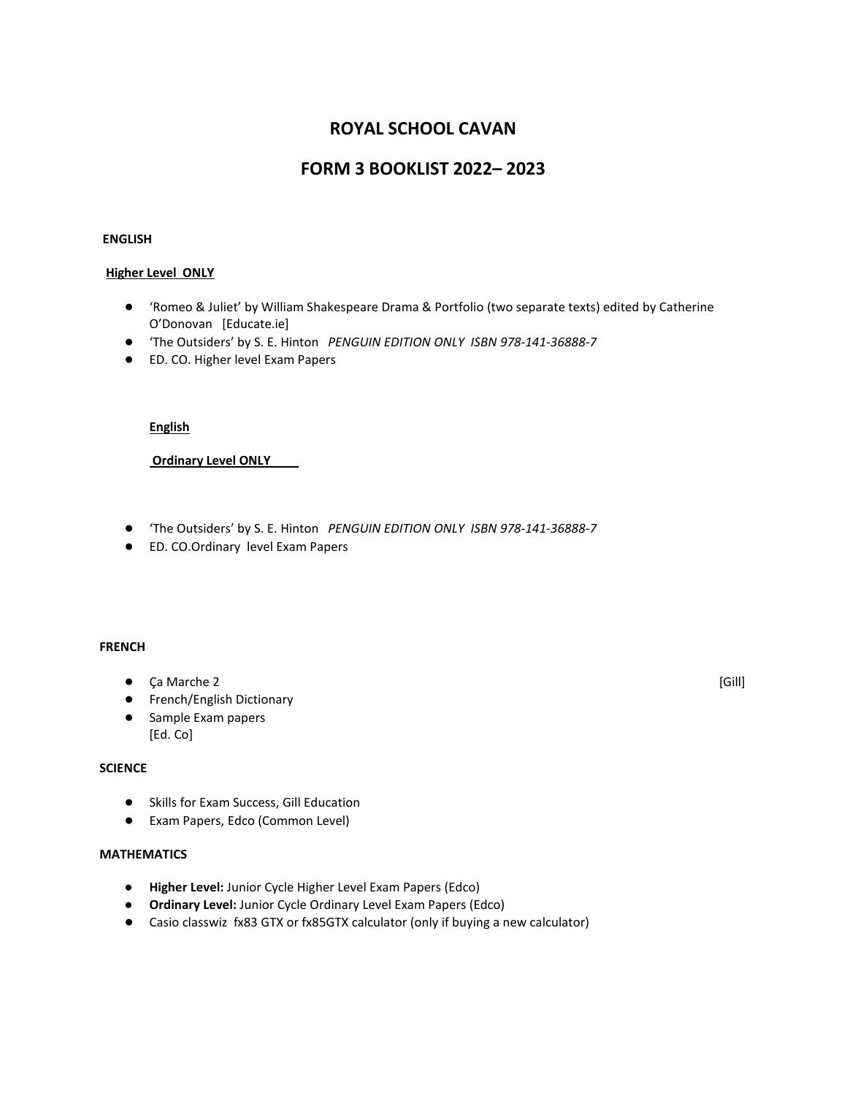# **ROYAL SCHOOL CAVAN**

# **FORM 3 BOOKLIST 2022– 2023**

#### **ENGLISH**

#### **Higher Level ONLY**

- 'Romeo & Juliet' by William Shakespeare Drama & Portfolio (two separate texts) edited by Catherine O'Donovan [Educate.ie]
- 'The Outsiders' by S. E. Hinton *PENGUIN EDITION ONLY ISBN 978-141-36888-7*
- ED. CO. Higher level Exam Papers

#### **English**

**Ordinary Level ONLY** 

- 'The Outsiders' by S. E. Hinton *PENGUIN EDITION ONLY ISBN 978-141-36888-7*
- ED. CO.Ordinary level Exam Papers

### **FRENCH**

- Ca Marche 2 [Gill]
- French/English Dictionary
- Sample Exam papers [Ed. Co]

#### **SCIENCE**

- Skills for Exam Success, Gill Education
- Exam Papers, Edco (Common Level)

## **MATHEMATICS**

- **Higher Level:** Junior Cycle Higher Level Exam Papers (Edco)
- **Ordinary Level:** Junior Cycle Ordinary Level Exam Papers (Edco)
- Casio classwiz fx83 GTX or fx85GTX calculator (only if buying a new calculator)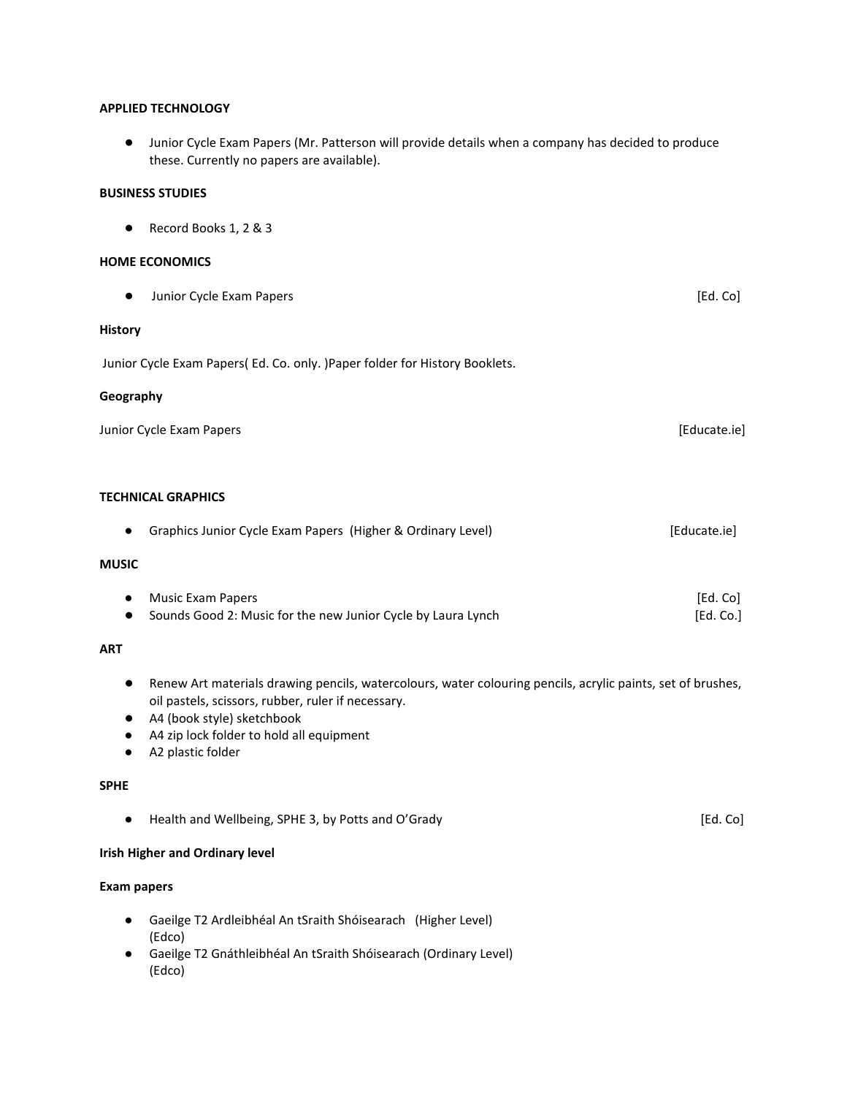#### **APPLIED TECHNOLOGY**

● Junior Cycle Exam Papers (Mr. Patterson will provide details when a company has decided to produce these. Currently no papers are available).

#### **BUSINESS STUDIES**

● Record Books 1, 2 & 3

#### **HOME ECONOMICS**

● Junior Cycle Exam Papers **by the Contract Contract Contract Contract Contract Contract Contract Contract Contract Contract Contract Contract Contract Contract Contract Contract Contract Contract Contract Contract Contra** 

### **History**

Junior Cycle Exam Papers( Ed. Co. only. )Paper folder for History Booklets.

#### **Geography**

| Junior Cycle Exam Papers | [Educate.ie] |
|--------------------------|--------------|
|--------------------------|--------------|

#### **TECHNICAL GRAPHICS**

|              | Graphics Junior Cycle Exam Papers (Higher & Ordinary Level) | [Educate.ie] |
|--------------|-------------------------------------------------------------|--------------|
| <b>MUSIC</b> |                                                             |              |
|              | Music Exam Papers                                           | [Ed. Co]     |

● Sounds Good 2: Music for the new Junior Cycle by Laura Lynch [Ed. Co.]

### **ART**

- Renew Art materials drawing pencils, watercolours, water colouring pencils, acrylic paints, set of brushes, oil pastels, scissors, rubber, ruler if necessary.
- A4 (book style) sketchbook
- A4 zip lock folder to hold all equipment
- A2 plastic folder

### **SPHE**

### **Irish Higher and Ordinary level**

#### **Exam papers**

- Gaeilge T2 Ardleibhéal An tSraith Shóisearach (Higher Level) (Edco)
- Gaeilge T2 Gnáthleibhéal An tSraith Shóisearach (Ordinary Level) (Edco)